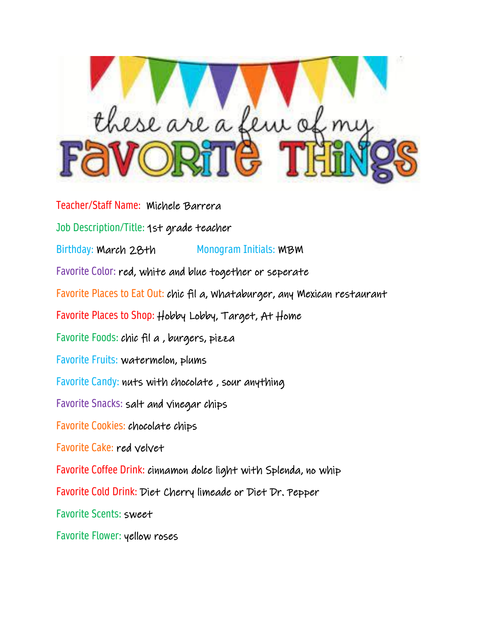

Teacher/Staff Name: Michele Barrera Job Description/Title: 1st grade teacher Birthday: March 28th Monogram Initials: MBM Favorite Color: red, white and blue together or seperate Favorite Places to Eat Out: chic fil a, Whataburger, any Mexican restaurant Favorite Places to Shop: Hobby Lobby, Target, At Home Favorite Foods: chic fil a , burgers, pizza Favorite Fruits: watermelon, plums Favorite Candy: nuts with chocolate , sour anything Favorite Snacks: salt and vinegar chips Favorite Cookies: chocolate chips Favorite Cake: red velvet Favorite Coffee Drink: cinnamon dolce light with Splenda, no whip Favorite Cold Drink: Diet Cherry limeade or Diet Dr. Pepper Favorite Scents: sweet Favorite Flower: yellow roses